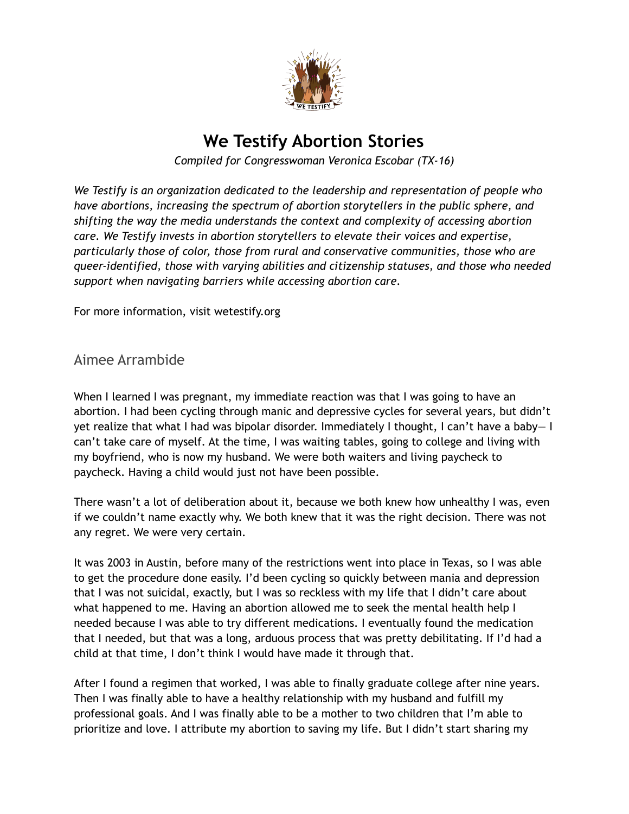

# **We Testify Abortion Stories**

*Compiled for Congresswoman Veronica Escobar (TX-16)*

*We Testify is an organization dedicated to the leadership and representation of people who have abortions, increasing the spectrum of abortion storytellers in the public sphere, and shifting the way the media understands the context and complexity of accessing abortion care. We Testify invests in abortion storytellers to elevate their voices and expertise, particularly those of color, those from rural and conservative communities, those who are queer-identified, those with varying abilities and citizenship statuses, and those who needed support when navigating barriers while accessing abortion care.*

For more information, visit wetestify.org

Aimee Arrambide

When I learned I was pregnant, my immediate reaction was that I was going to have an abortion. I had been cycling through manic and depressive cycles for several years, but didn't yet realize that what I had was bipolar disorder. Immediately I thought, I can't have a baby— I can't take care of myself. At the time, I was waiting tables, going to college and living with my boyfriend, who is now my husband. We were both waiters and living paycheck to paycheck. Having a child would just not have been possible.

There wasn't a lot of deliberation about it, because we both knew how unhealthy I was, even if we couldn't name exactly why. We both knew that it was the right decision. There was not any regret. We were very certain.

It was 2003 in Austin, before many of the restrictions went into place in Texas, so I was able to get the procedure done easily. I'd been cycling so quickly between mania and depression that I was not suicidal, exactly, but I was so reckless with my life that I didn't care about what happened to me. Having an abortion allowed me to seek the mental health help I needed because I was able to try different medications. I eventually found the medication that I needed, but that was a long, arduous process that was pretty debilitating. If I'd had a child at that time, I don't think I would have made it through that.

After I found a regimen that worked, I was able to finally graduate college after nine years. Then I was finally able to have a healthy relationship with my husband and fulfill my professional goals. And I was finally able to be a mother to two children that I'm able to prioritize and love. I attribute my abortion to saving my life. But I didn't start sharing my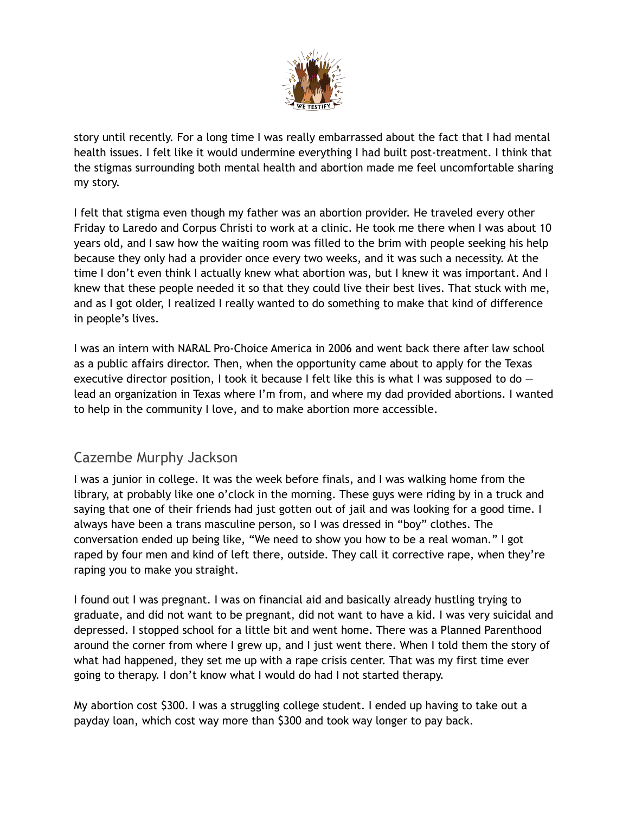

story until recently. For a long time I was really embarrassed about the fact that I had mental health issues. I felt like it would undermine everything I had built post-treatment. I think that the stigmas surrounding both mental health and abortion made me feel uncomfortable sharing my story.

I felt that stigma even though my father was an abortion provider. He traveled every other Friday to Laredo and Corpus Christi to work at a clinic. He took me there when I was about 10 years old, and I saw how the waiting room was filled to the brim with people seeking his help because they only had a provider once every two weeks, and it was such a necessity. At the time I don't even think I actually knew what abortion was, but I knew it was important. And I knew that these people needed it so that they could live their best lives. That stuck with me, and as I got older, I realized I really wanted to do something to make that kind of difference in people's lives.

I was an intern with NARAL Pro-Choice America in 2006 and went back there after law school as a public affairs director. Then, when the opportunity came about to apply for the Texas executive director position, I took it because I felt like this is what I was supposed to do  $$ lead an organization in Texas where I'm from, and where my dad provided abortions. I wanted to help in the community I love, and to make abortion more accessible.

## Cazembe Murphy Jackson

I was a junior in college. It was the week before finals, and I was walking home from the library, at probably like one o'clock in the morning. These guys were riding by in a truck and saying that one of their friends had just gotten out of jail and was looking for a good time. I always have been a trans masculine person, so I was dressed in "boy" clothes. The conversation ended up being like, "We need to show you how to be a real woman." I got raped by four men and kind of left there, outside. They call it corrective rape, when they're raping you to make you straight.

I found out I was pregnant. I was on financial aid and basically already hustling trying to graduate, and did not want to be pregnant, did not want to have a kid. I was very suicidal and depressed. I stopped school for a little bit and went home. There was a Planned Parenthood around the corner from where I grew up, and I just went there. When I told them the story of what had happened, they set me up with a rape crisis center. That was my first time ever going to therapy. I don't know what I would do had I not started therapy.

My abortion cost \$300. I was a struggling college student. I ended up having to take out a payday loan, which cost way more than \$300 and took way longer to pay back.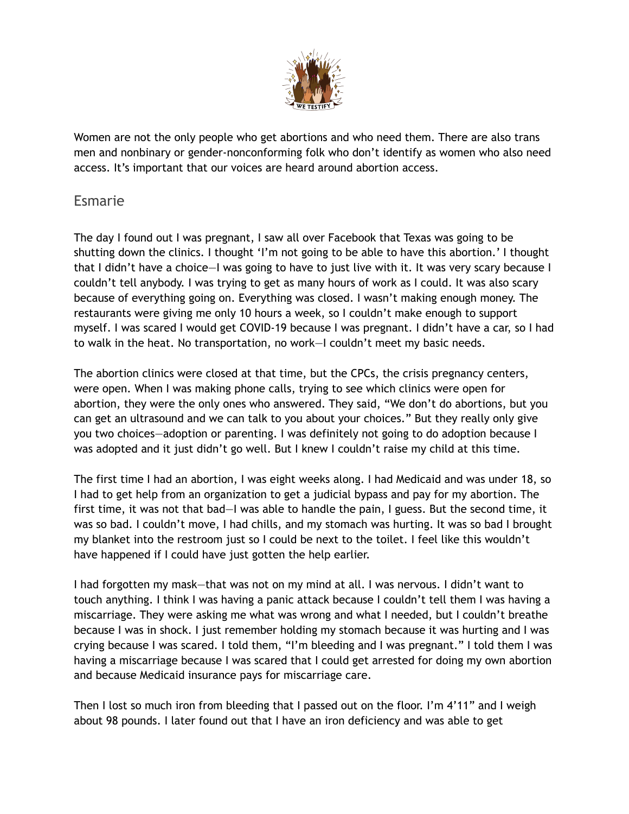

Women are not the only people who get abortions and who need them. There are also trans men and nonbinary or gender-nonconforming folk who don't identify as women who also need access. It's important that our voices are heard around abortion access.

### Esmarie

The day I found out I was pregnant, I saw all over Facebook that Texas was going to be shutting down the clinics. I thought 'I'm not going to be able to have this abortion.' I thought that I didn't have a choice—I was going to have to just live with it. It was very scary because I couldn't tell anybody. I was trying to get as many hours of work as I could. It was also scary because of everything going on. Everything was closed. I wasn't making enough money. The restaurants were giving me only 10 hours a week, so I couldn't make enough to support myself. I was scared I would get COVID-19 because I was pregnant. I didn't have a car, so I had to walk in the heat. No transportation, no work—I couldn't meet my basic needs.

The abortion clinics were closed at that time, but the CPCs, the crisis pregnancy centers, were open. When I was making phone calls, trying to see which clinics were open for abortion, they were the only ones who answered. They said, "We don't do abortions, but you can get an ultrasound and we can talk to you about your choices." But they really only give you two choices—adoption or parenting. I was definitely not going to do adoption because I was adopted and it just didn't go well. But I knew I couldn't raise my child at this time.

The first time I had an abortion, I was eight weeks along. I had Medicaid and was under 18, so I had to get help from an organization to get a judicial bypass and pay for my abortion. The first time, it was not that bad—I was able to handle the pain, I guess. But the second time, it was so bad. I couldn't move, I had chills, and my stomach was hurting. It was so bad I brought my blanket into the restroom just so I could be next to the toilet. I feel like this wouldn't have happened if I could have just gotten the help earlier.

I had forgotten my mask—that was not on my mind at all. I was nervous. I didn't want to touch anything. I think I was having a panic attack because I couldn't tell them I was having a miscarriage. They were asking me what was wrong and what I needed, but I couldn't breathe because I was in shock. I just remember holding my stomach because it was hurting and I was crying because I was scared. I told them, "I'm bleeding and I was pregnant." I told them I was having a miscarriage because I was scared that I could get arrested for doing my own abortion and because Medicaid insurance pays for miscarriage care.

Then I lost so much iron from bleeding that I passed out on the floor. I'm 4'11" and I weigh about 98 pounds. I later found out that I have an iron deficiency and was able to get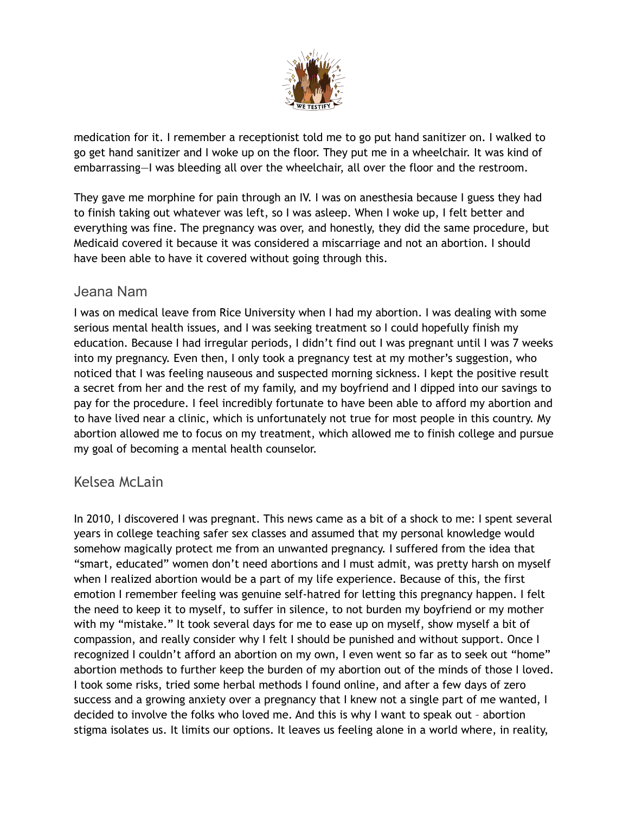

medication for it. I remember a receptionist told me to go put hand sanitizer on. I walked to go get hand sanitizer and I woke up on the floor. They put me in a wheelchair. It was kind of embarrassing—I was bleeding all over the wheelchair, all over the floor and the restroom.

They gave me morphine for pain through an IV. I was on anesthesia because I guess they had to finish taking out whatever was left, so I was asleep. When I woke up, I felt better and everything was fine. The pregnancy was over, and honestly, they did the same procedure, but Medicaid covered it because it was considered a miscarriage and not an abortion. I should have been able to have it covered without going through this.

### Jeana Nam

I was on medical leave from Rice University when I had my abortion. I was dealing with some serious mental health issues, and I was seeking treatment so I could hopefully finish my education. Because I had irregular periods, I didn't find out I was pregnant until I was 7 weeks into my pregnancy. Even then, I only took a pregnancy test at my mother's suggestion, who noticed that I was feeling nauseous and suspected morning sickness. I kept the positive result a secret from her and the rest of my family, and my boyfriend and I dipped into our savings to pay for the procedure. I feel incredibly fortunate to have been able to afford my abortion and to have lived near a clinic, which is unfortunately not true for most people in this country. My abortion allowed me to focus on my treatment, which allowed me to finish college and pursue my goal of becoming a mental health counselor.

## Kelsea McLain

In 2010, I discovered I was pregnant. This news came as a bit of a shock to me: I spent several years in college teaching safer sex classes and assumed that my personal knowledge would somehow magically protect me from an unwanted pregnancy. I suffered from the idea that "smart, educated" women don't need abortions and I must admit, was pretty harsh on myself when I realized abortion would be a part of my life experience. Because of this, the first emotion I remember feeling was genuine self-hatred for letting this pregnancy happen. I felt the need to keep it to myself, to suffer in silence, to not burden my boyfriend or my mother with my "mistake." It took several days for me to ease up on myself, show myself a bit of compassion, and really consider why I felt I should be punished and without support. Once I recognized I couldn't afford an abortion on my own, I even went so far as to seek out "home" abortion methods to further keep the burden of my abortion out of the minds of those I loved. I took some risks, tried some herbal methods I found online, and after a few days of zero success and a growing anxiety over a pregnancy that I knew not a single part of me wanted, I decided to involve the folks who loved me. And this is why I want to speak out – abortion stigma isolates us. It limits our options. It leaves us feeling alone in a world where, in reality,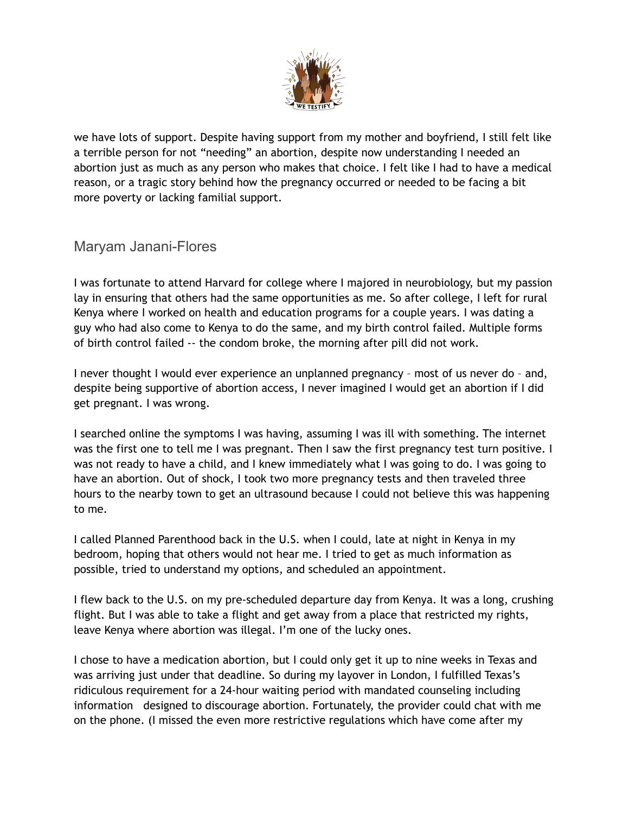

we have lots of support. Despite having support from my mother and boyfriend, I still felt like a terrible person for not "needing" an abortion, despite now understanding I needed an abortion just as much as any person who makes that choice. I felt like I had to have a medical reason, or a tragic story behind how the pregnancy occurred or needed to be facing a bit more poverty or lacking familial support.

## Maryam Janani-Flores

I was fortunate to attend Harvard for college where I majored in neurobiology, but my passion lay in ensuring that others had the same opportunities as me. So after college, I left for rural Kenya where I worked on health and education programs for a couple years. I was dating a guy who had also come to Kenya to do the same, and my birth control failed. Multiple forms of birth control failed -- the condom broke, the morning after pill did not work.

I never thought I would ever experience an unplanned pregnancy – most of us never do – and, despite being supportive of abortion access, I never imagined I would get an abortion if I did get pregnant. I was wrong.

I searched online the symptoms I was having, assuming I was ill with something. The internet was the first one to tell me I was pregnant. Then I saw the first pregnancy test turn positive. I was not ready to have a child, and I knew immediately what I was going to do. I was going to have an abortion. Out of shock, I took two more pregnancy tests and then traveled three hours to the nearby town to get an ultrasound because I could not believe this was happening to me.

I called Planned Parenthood back in the U.S. when I could, late at night in Kenya in my bedroom, hoping that others would not hear me. I tried to get as much information as possible, tried to understand my options, and scheduled an appointment.

I flew back to the U.S. on my pre-scheduled departure day from Kenya. It was a long, crushing flight. But I was able to take a flight and get away from a place that restricted my rights, leave Kenya where abortion was illegal. I'm one of the lucky ones.

I chose to have a medication abortion, but I could only get it up to nine weeks in Texas and was arriving just under that deadline. So during my layover in London, I fulfilled Texas's ridiculous requirement for a 24-hour waiting period with mandated counseling including information designed to discourage abortion. Fortunately, the provider could chat with me on the phone. (I missed the even more restrictive regulations which have come after my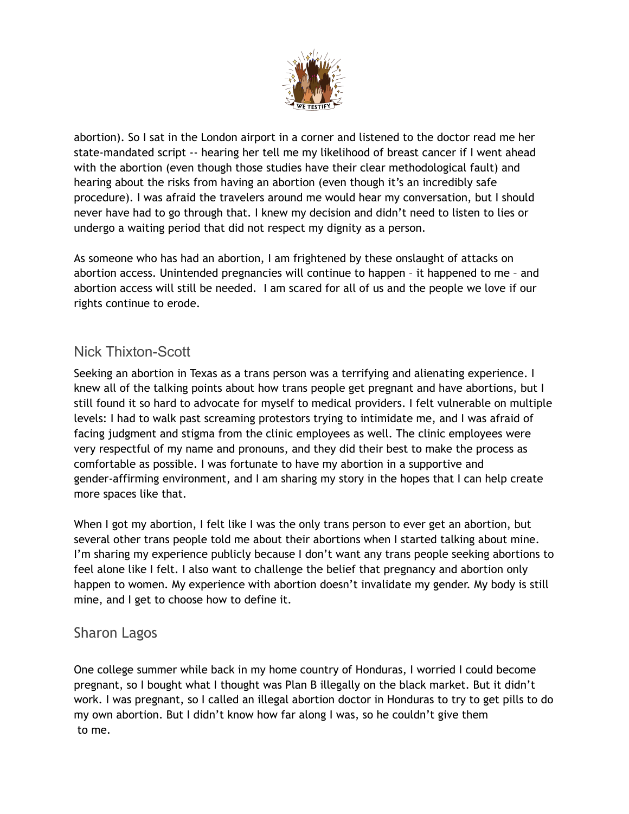

abortion). So I sat in the London airport in a corner and listened to the doctor read me her state-mandated script -- hearing her tell me my likelihood of breast cancer if I went ahead with the abortion (even though those studies have their clear methodological fault) and hearing about the risks from having an abortion (even though it's an incredibly safe procedure). I was afraid the travelers around me would hear my conversation, but I should never have had to go through that. I knew my decision and didn't need to listen to lies or undergo a waiting period that did not respect my dignity as a person.

As someone who has had an abortion, I am frightened by these onslaught of attacks on abortion access. Unintended pregnancies will continue to happen – it happened to me – and abortion access will still be needed. I am scared for all of us and the people we love if our rights continue to erode.

## Nick Thixton-Scott

Seeking an abortion in Texas as a trans person was a terrifying and alienating experience. I knew all of the talking points about how trans people get pregnant and have abortions, but I still found it so hard to advocate for myself to medical providers. I felt vulnerable on multiple levels: I had to walk past screaming protestors trying to intimidate me, and I was afraid of facing judgment and stigma from the clinic employees as well. The clinic employees were very respectful of my name and pronouns, and they did their best to make the process as comfortable as possible. I was fortunate to have my abortion in a supportive and gender-affirming environment, and I am sharing my story in the hopes that I can help create more spaces like that.

When I got my abortion, I felt like I was the only trans person to ever get an abortion, but several other trans people told me about their abortions when I started talking about mine. I'm sharing my experience publicly because I don't want any trans people seeking abortions to feel alone like I felt. I also want to challenge the belief that pregnancy and abortion only happen to women. My experience with abortion doesn't invalidate my gender. My body is still mine, and I get to choose how to define it.

#### Sharon Lagos

One college summer while back in my home country of Honduras, I worried I could become pregnant, so I bought what I thought was Plan B illegally on the black market. But it didn't work. I was pregnant, so I called an illegal abortion doctor in Honduras to try to get pills to do my own abortion. But I didn't know how far along I was, so he couldn't give them to me.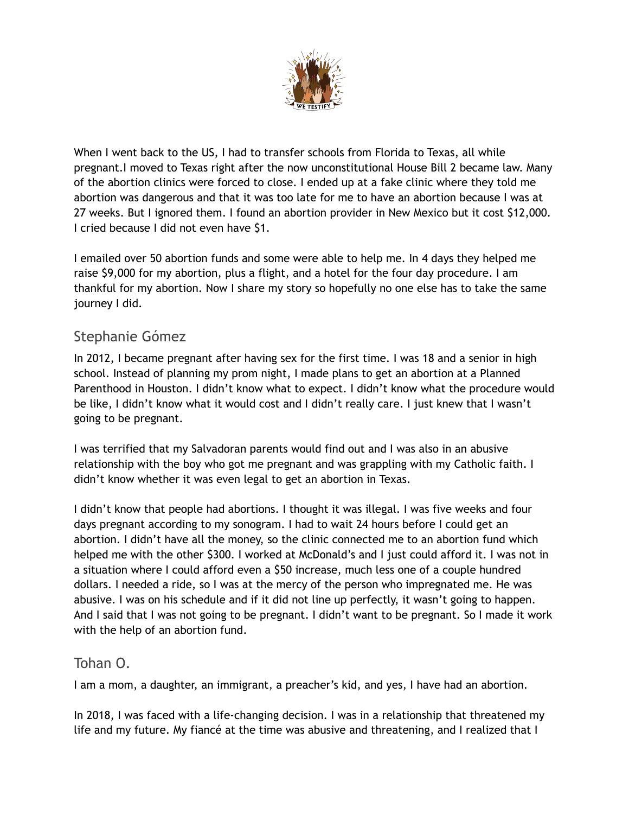

When I went back to the US, I had to transfer schools from Florida to Texas, all while pregnant.I moved to Texas right after the now unconstitutional House Bill 2 became law. Many of the abortion clinics were forced to close. I ended up at a fake clinic where they told me abortion was dangerous and that it was too late for me to have an abortion because I was at 27 weeks. But I ignored them. I found an abortion provider in New Mexico but it cost \$12,000. I cried because I did not even have \$1.

I emailed over 50 abortion funds and some were able to help me. In 4 days they helped me raise \$9,000 for my abortion, plus a flight, and a hotel for the four day procedure. I am thankful for my abortion. Now I share my story so hopefully no one else has to take the same journey I did.

## Stephanie Gómez

In 2012, I became pregnant after having sex for the first time. I was 18 and a senior in high school. Instead of planning my prom night, I made plans to get an abortion at a Planned Parenthood in Houston. I didn't know what to expect. I didn't know what the procedure would be like, I didn't know what it would cost and I didn't really care. I just knew that I wasn't going to be pregnant.

I was terrified that my Salvadoran parents would find out and I was also in an abusive relationship with the boy who got me pregnant and was grappling with my Catholic faith. I didn't know whether it was even legal to get an abortion in Texas.

I didn't know that people had abortions. I thought it was illegal. I was five weeks and four days pregnant according to my sonogram. I had to wait 24 hours before I could get an abortion. I didn't have all the money, so the clinic connected me to an abortion fund which helped me with the other \$300. I worked at McDonald's and I just could afford it. I was not in a situation where I could afford even a \$50 increase, much less one of a couple hundred dollars. I needed a ride, so I was at the mercy of the person who impregnated me. He was abusive. I was on his schedule and if it did not line up perfectly, it wasn't going to happen. And I said that I was not going to be pregnant. I didn't want to be pregnant. So I made it work with the help of an abortion fund.

## Tohan O.

I am a mom, a daughter, an immigrant, a preacher's kid, and yes, I have had an abortion.

In 2018, I was faced with a life-changing decision. I was in a relationship that threatened my life and my future. My fiancé at the time was abusive and threatening, and I realized that I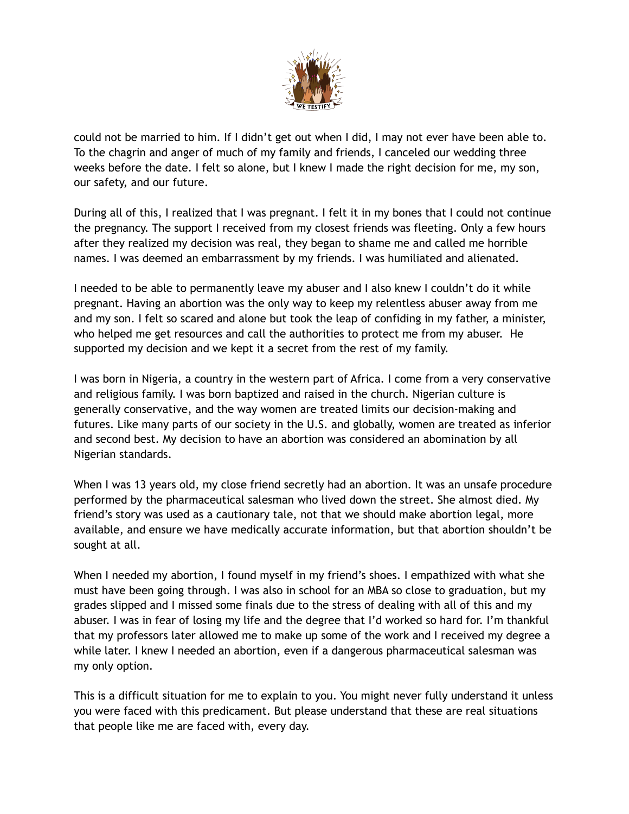

could not be married to him. If I didn't get out when I did, I may not ever have been able to. To the chagrin and anger of much of my family and friends, I canceled our wedding three weeks before the date. I felt so alone, but I knew I made the right decision for me, my son, our safety, and our future.

During all of this, I realized that I was pregnant. I felt it in my bones that I could not continue the pregnancy. The support I received from my closest friends was fleeting. Only a few hours after they realized my decision was real, they began to shame me and called me horrible names. I was deemed an embarrassment by my friends. I was humiliated and alienated.

I needed to be able to permanently leave my abuser and I also knew I couldn't do it while pregnant. Having an abortion was the only way to keep my relentless abuser away from me and my son. I felt so scared and alone but took the leap of confiding in my father, a minister, who helped me get resources and call the authorities to protect me from my abuser. He supported my decision and we kept it a secret from the rest of my family.

I was born in Nigeria, a country in the western part of Africa. I come from a very conservative and religious family. I was born baptized and raised in the church. Nigerian culture is generally conservative, and the way women are treated limits our decision-making and futures. Like many parts of our society in the U.S. and globally, women are treated as inferior and second best. My decision to have an abortion was considered an abomination by all Nigerian standards.

When I was 13 years old, my close friend secretly had an abortion. It was an unsafe procedure performed by the pharmaceutical salesman who lived down the street. She almost died. My friend's story was used as a cautionary tale, not that we should make abortion legal, more available, and ensure we have medically accurate information, but that abortion shouldn't be sought at all.

When I needed my abortion, I found myself in my friend's shoes. I empathized with what she must have been going through. I was also in school for an MBA so close to graduation, but my grades slipped and I missed some finals due to the stress of dealing with all of this and my abuser. I was in fear of losing my life and the degree that I'd worked so hard for. I'm thankful that my professors later allowed me to make up some of the work and I received my degree a while later. I knew I needed an abortion, even if a dangerous pharmaceutical salesman was my only option.

This is a difficult situation for me to explain to you. You might never fully understand it unless you were faced with this predicament. But please understand that these are real situations that people like me are faced with, every day.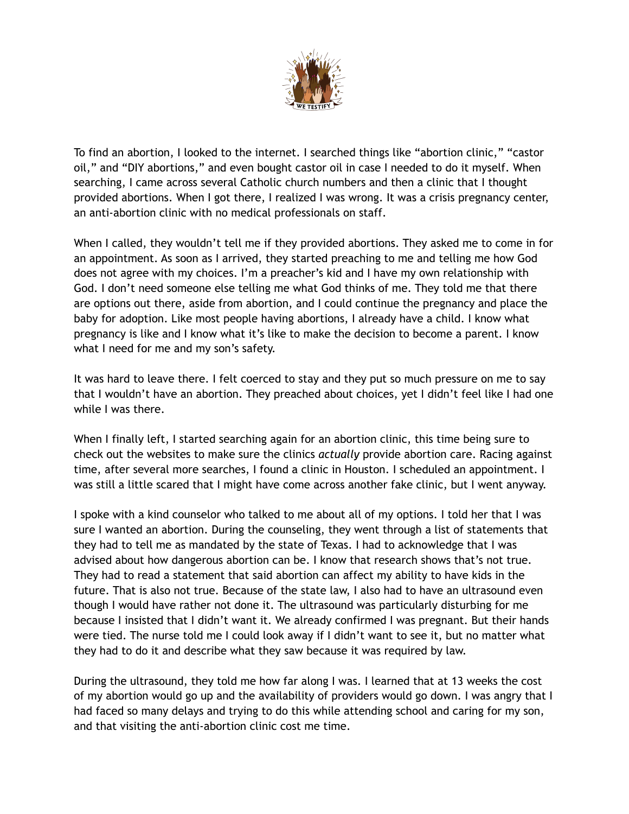

To find an abortion, I looked to the internet. I searched things like "abortion clinic," "castor oil," and "DIY abortions," and even bought castor oil in case I needed to do it myself. When searching, I came across several Catholic church numbers and then a clinic that I thought provided abortions. When I got there, I realized I was wrong. It was a crisis pregnancy center, an anti-abortion clinic with no medical professionals on staff.

When I called, they wouldn't tell me if they provided abortions. They asked me to come in for an appointment. As soon as I arrived, they started preaching to me and telling me how God does not agree with my choices. I'm a preacher's kid and I have my own relationship with God. I don't need someone else telling me what God thinks of me. They told me that there are options out there, aside from abortion, and I could continue the pregnancy and place the baby for adoption. Like most people having abortions, I already have a child. I know what pregnancy is like and I know what it's like to make the decision to become a parent. I know what I need for me and my son's safety.

It was hard to leave there. I felt coerced to stay and they put so much pressure on me to say that I wouldn't have an abortion. They preached about choices, yet I didn't feel like I had one while I was there.

When I finally left, I started searching again for an abortion clinic, this time being sure to check out the websites to make sure the clinics *actually* provide abortion care. Racing against time, after several more searches, I found a clinic in Houston. I scheduled an appointment. I was still a little scared that I might have come across another fake clinic, but I went anyway.

I spoke with a kind counselor who talked to me about all of my options. I told her that I was sure I wanted an abortion. During the counseling, they went through a list of statements that they had to tell me as mandated by the state of Texas. I had to acknowledge that I was advised about how dangerous abortion can be. I know that research shows that's not true. They had to read a statement that said abortion can affect my ability to have kids in the future. That is also not true. Because of the state law, I also had to have an ultrasound even though I would have rather not done it. The ultrasound was particularly disturbing for me because I insisted that I didn't want it. We already confirmed I was pregnant. But their hands were tied. The nurse told me I could look away if I didn't want to see it, but no matter what they had to do it and describe what they saw because it was required by law.

During the ultrasound, they told me how far along I was. I learned that at 13 weeks the cost of my abortion would go up and the availability of providers would go down. I was angry that I had faced so many delays and trying to do this while attending school and caring for my son, and that visiting the anti-abortion clinic cost me time.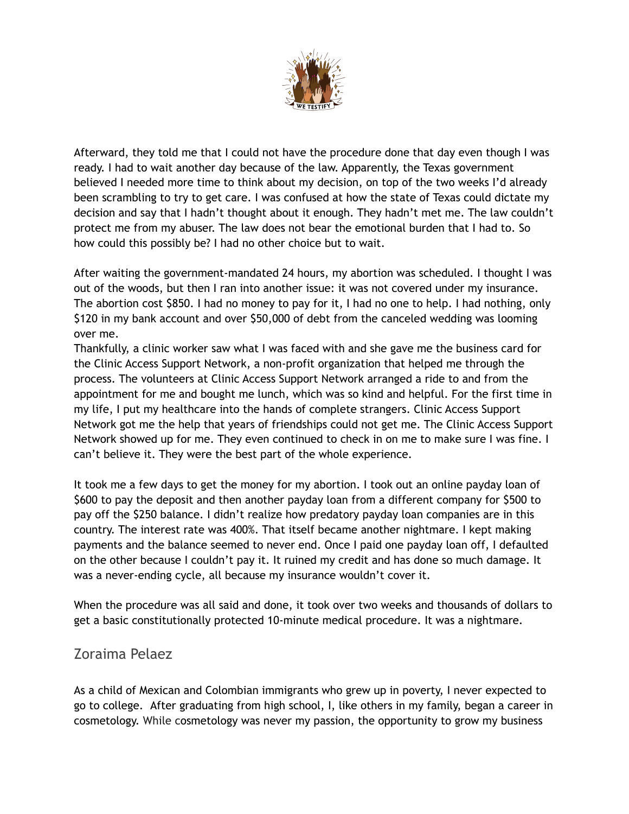

Afterward, they told me that I could not have the procedure done that day even though I was ready. I had to wait another day because of the law. Apparently, the Texas government believed I needed more time to think about my decision, on top of the two weeks I'd already been scrambling to try to get care. I was confused at how the state of Texas could dictate my decision and say that I hadn't thought about it enough. They hadn't met me. The law couldn't protect me from my abuser. The law does not bear the emotional burden that I had to. So how could this possibly be? I had no other choice but to wait.

After waiting the government-mandated 24 hours, my abortion was scheduled. I thought I was out of the woods, but then I ran into another issue: it was not covered under my insurance. The abortion cost \$850. I had no money to pay for it, I had no one to help. I had nothing, only \$120 in my bank account and over \$50,000 of debt from the canceled wedding was looming over me.

Thankfully, a clinic worker saw what I was faced with and she gave me the business card for the Clinic Access Support Network, a non-profit organization that helped me through the process. The volunteers at Clinic Access Support Network arranged a ride to and from the appointment for me and bought me lunch, which was so kind and helpful. For the first time in my life, I put my healthcare into the hands of complete strangers. Clinic Access Support Network got me the help that years of friendships could not get me. The Clinic Access Support Network showed up for me. They even continued to check in on me to make sure I was fine. I can't believe it. They were the best part of the whole experience.

It took me a few days to get the money for my abortion. I took out an online payday loan of \$600 to pay the deposit and then another payday loan from a different company for \$500 to pay off the \$250 balance. I didn't realize how predatory payday loan companies are in this country. The interest rate was 400%. That itself became another nightmare. I kept making payments and the balance seemed to never end. Once I paid one payday loan off, I defaulted on the other because I couldn't pay it. It ruined my credit and has done so much damage. It was a never-ending cycle, all because my insurance wouldn't cover it.

When the procedure was all said and done, it took over two weeks and thousands of dollars to get a basic constitutionally protected 10-minute medical procedure. It was a nightmare.

## Zoraima Pelaez

As a child of Mexican and Colombian immigrants who grew up in poverty, I never expected to go to college. After graduating from high school, I, like others in my family, began a career in cosmetology. While cosmetology was never my passion, the opportunity to grow my business